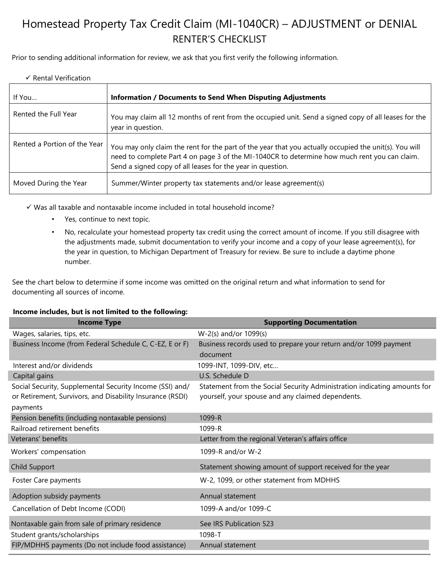## Homestead Property Tax Credit Claim (MI-1040CR) – ADJUSTMENT or DENIAL RENTER'S CHECKLIST

Prior to sending additional information for review, we ask that you first verify the following information.

## $\checkmark$  Rental Verification

| If You                       | <b>Information / Documents to Send When Disputing Adjustments</b>                                                                                                                                                                                                   |
|------------------------------|---------------------------------------------------------------------------------------------------------------------------------------------------------------------------------------------------------------------------------------------------------------------|
| Rented the Full Year         | You may claim all 12 months of rent from the occupied unit. Send a signed copy of all leases for the<br>year in question.                                                                                                                                           |
| Rented a Portion of the Year | You may only claim the rent for the part of the year that you actually occupied the unit(s). You will<br>need to complete Part 4 on page 3 of the MI-1040CR to determine how much rent you can claim.<br>Send a signed copy of all leases for the year in question. |
| Moved During the Year        | Summer/Winter property tax statements and/or lease agreement(s)                                                                                                                                                                                                     |

✓ Was all taxable and nontaxable income included in total household income?

- Yes, continue to next topic.
- No, recalculate your homestead property tax credit using the correct amount of income. If you still disagree with the adjustments made, submit documentation to verify your income and a copy of your lease agreement(s), for the year in question, to Michigan Department of Treasury for review. Be sure to include a daytime phone number.

See the chart below to determine if some income was omitted on the original return and what information to send for documenting all sources of income.

## **Income includes, but is not limited to the following:**

| <b>Income Type</b>                                        | <b>Supporting Documentation</b>                                          |
|-----------------------------------------------------------|--------------------------------------------------------------------------|
| Wages, salaries, tips, etc.                               | W-2(s) and/or 1099(s)                                                    |
| Business Income (from Federal Schedule C, C-EZ, E or F)   | Business records used to prepare your return and/or 1099 payment         |
|                                                           | document                                                                 |
| Interest and/or dividends                                 | 1099-INT, 1099-DIV, etc                                                  |
| Capital gains                                             | U.S. Schedule D                                                          |
| Social Security, Supplemental Security Income (SSI) and/  | Statement from the Social Security Administration indicating amounts for |
| or Retirement, Survivors, and Disability Insurance (RSDI) | yourself, your spouse and any claimed dependents.                        |
| payments                                                  |                                                                          |
| Pension benefits (including nontaxable pensions)          | 1099-R                                                                   |
| Railroad retirement benefits                              | 1099-R                                                                   |
| Veterans' benefits                                        | Letter from the regional Veteran's affairs office                        |
| Workers' compensation                                     | 1099-R and/or W-2                                                        |
| Child Support                                             | Statement showing amount of support received for the year                |
| Foster Care payments                                      | W-2, 1099, or other statement from MDHHS                                 |
| Adoption subsidy payments                                 | Annual statement                                                         |
| Cancellation of Debt Income (CODI)                        | 1099-A and/or 1099-C                                                     |
| Nontaxable gain from sale of primary residence            | See IRS Publication 523                                                  |
| Student grants/scholarships                               | 1098-T                                                                   |
| FIP/MDHHS payments (Do not include food assistance)       | Annual statement                                                         |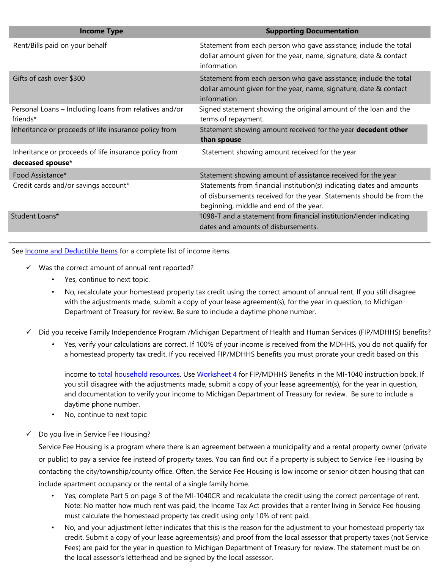| <b>Income Type</b>                                                        | <b>Supporting Documentation</b>                                                                                                                                                          |
|---------------------------------------------------------------------------|------------------------------------------------------------------------------------------------------------------------------------------------------------------------------------------|
| Rent/Bills paid on your behalf                                            | Statement from each person who gave assistance; include the total<br>dollar amount given for the year, name, signature, date & contact<br>information                                    |
| Gifts of cash over \$300                                                  | Statement from each person who gave assistance; include the total<br>dollar amount given for the year, name, signature, date & contact<br>information                                    |
| Personal Loans - Including loans from relatives and/or<br>friends*        | Signed statement showing the original amount of the loan and the<br>terms of repayment.                                                                                                  |
| Inheritance or proceeds of life insurance policy from                     | Statement showing amount received for the year decedent other<br>than spouse                                                                                                             |
| Inheritance or proceeds of life insurance policy from<br>deceased spouse* | Statement showing amount received for the year                                                                                                                                           |
| Food Assistance*                                                          | Statement showing amount of assistance received for the year                                                                                                                             |
| Credit cards and/or savings account*                                      | Statements from financial institution(s) indicating dates and amounts<br>of disbursements received for the year. Statements should be from the<br>beginning, middle and end of the year. |
| Student Loans*                                                            | 1098-T and a statement from financial institution/lender indicating<br>dates and amounts of disbursements.                                                                               |

See **Income and Deductible Items** [fo](http://www.michigan.gov/documents/CC-41011_92366_7.pdf)r a complete list of income items.

- ✓ Was the correct amount of annual rent reported?
	- Yes, continue to next topic.
	- No, recalculate your homestead property tax credit using the correct amount of annual rent. If you still disagree with the adjustments made, submit a copy of your lease agreement(s), for the year in question, to Michigan Department of Treasury for review. Be sure to include a daytime phone number.
- Did you receive Family Independence Program /Michigan Department of Health and Human Services (FIP/MDHHS) benefits?
	- Yes, verify your calculations are correct. If 100% of your income is received from the MDHHS, you do not qualify for a homestead property tax credit. If you received FIP/MDHHS benefits you must prorate your credit based on this

income to to[tal](http://www.michigan.gov/taxes/0,4676,7-238-43513-235899--,00.html) [household resources.](http://www.michigan.gov/taxes/0,4676,7-238-43513-235899--,00.html) [Use](http://www.michigan.gov/taxes/0,4676,7-238-43513-235899--,00.html) [Worksheet](https://www.michigan.gov/documents/taxes/Book_MI-1040_instructions_only_712104_7.pdf#page=34) [4](https://www.michigan.gov/documents/taxes/Book_MI-1040_instructions_only_712104_7.pdf#page=34) [fo](http://www.michigan.gov/documents/taxes/MI_1040_Instruction_Book_Instructions_Only_609092_7.pdf#page=32)r FIP/MDHHS Benefits in the MI-1040 instruction book. If you still disagree with the adjustments made, submit a copy of your lease agreement(s), for the year in question, and documentation to verify your income to Michigan Department of Treasury for review. Be sure to include a daytime phone number.

- No, continue to next topic
- Do you live in Service Fee Housing?

Service Fee Housing is a program where there is an agreement between a municipality and a rental property owner (private or public) to pay a service fee instead of property taxes. You can find out if a property is subject to Service Fee Housing by contacting the city/township/county office. Often, the Service Fee Housing is low income or senior citizen housing that can include apartment occupancy or the rental of a single family home.

- Yes, complete Part 5 on page 3 of the MI-1040CR and recalculate the credit using the correct percentage of rent. Note: No matter how much rent was paid, the Income Tax Act provides that a renter living in Service Fee housing must calculate the homestead property tax credit using only 10% of rent paid.
- No, and your adjustment letter indicates that this is the reason for the adjustment to your homestead property tax credit. Submit a copy of your lease agreements(s) and proof from the local assessor that property taxes (not Service Fees) are paid for the year in question to Michigan Department of Treasury for review. The statement must be on the local assessor's letterhead and be signed by the local assessor.